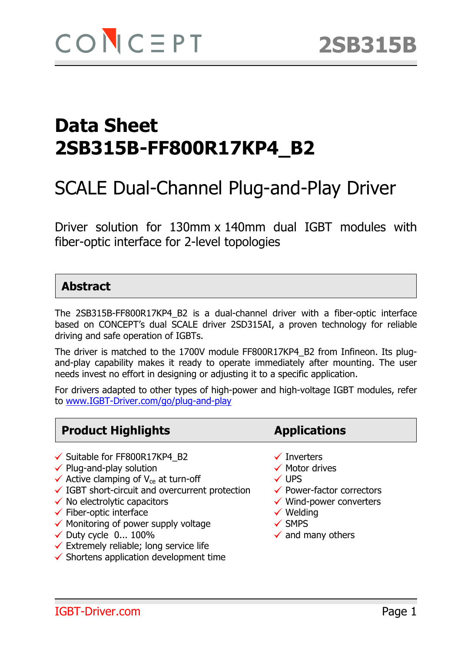# SCALE Dual-Channel Plug-and-Play Driver

Driver solution for 130mm x 140mm dual IGBT modules with fiber-optic interface for 2-level topologies

### **Abstract**

The 2SB315B-FF800R17KP4\_B2 is a dual-channel driver with a fiber-optic interface based on CONCEPT's dual SCALE driver 2SD315AI, a proven technology for reliable driving and safe operation of IGBTs.

The driver is matched to the 1700V module FF800R17KP4\_B2 from Infineon. Its plugand-play capability makes it ready to operate immediately after mounting. The user needs invest no effort in designing or adjusting it to a specific application.

For drivers adapted to other types of high-power and high-voltage IGBT modules, refer to www.IGBT-Driver.com/go/plug-and-play

### **Product Highlights Applications**

- $\checkmark$  Suitable for FF800R17KP4 B2  $\checkmark$  Inverters
- $\checkmark$  Plug-and-play solution  $\checkmark$  Motor drives
- $\checkmark$  Active clamping of V<sub>ce</sub> at turn-off  $\checkmark$  UPS
- $\checkmark$  IGBT short-circuit and overcurrent protection  $\checkmark$  Power-factor correctors
- $\checkmark$  No electrolytic capacitors  $\checkmark$  Wind-power converters
- $\checkmark$  Fiber-optic interface  $\checkmark$  Welding
- $\checkmark$  Monitoring of power supply voltage  $\checkmark$  SMPS
- $\checkmark$  Duty cycle 0... 100%  $\checkmark$  and many others
- $\checkmark$  Extremely reliable; long service life
- $\checkmark$  Shortens application development time

- 
- 
- 
- 
- 
- 
- 
-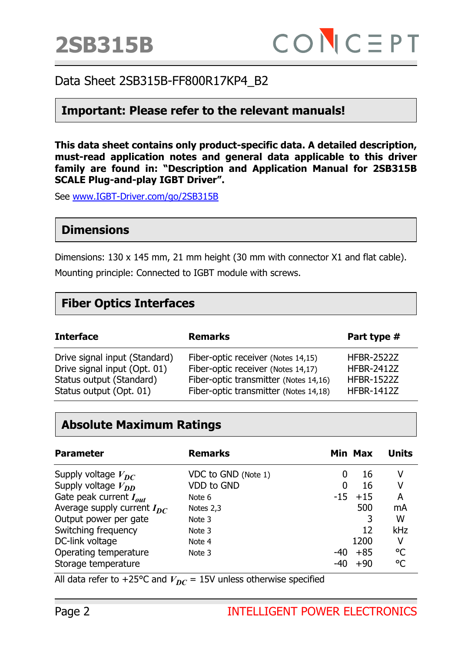

#### **Important: Please refer to the relevant manuals!**

**This data sheet contains only product-specific data. A detailed description, must-read application notes and general data applicable to this driver family are found in: "Description and Application Manual for 2SB315B SCALE Plug-and-play IGBT Driver".** 

See www.IGBT-Driver.com/go/2SB315B

#### **Dimensions**

Dimensions: 130 x 145 mm, 21 mm height (30 mm with connector X1 and flat cable).

Mounting principle: Connected to IGBT module with screws.

#### **Fiber Optics Interfaces**

| <b>Interface</b>              | <b>Remarks</b>                        | Part type #       |
|-------------------------------|---------------------------------------|-------------------|
| Drive signal input (Standard) | Fiber-optic receiver (Notes 14,15)    | <b>HFBR-2522Z</b> |
| Drive signal input (Opt. 01)  | Fiber-optic receiver (Notes 14,17)    | <b>HFBR-2412Z</b> |
| Status output (Standard)      | Fiber-optic transmitter (Notes 14,16) | <b>HFBR-1522Z</b> |
| Status output (Opt. 01)       | Fiber-optic transmitter (Notes 14,18) | <b>HFBR-1412Z</b> |

### **Absolute Maximum Ratings**

| <b>Parameter</b>                | <b>Remarks</b>      |       | Min Max | <b>Units</b> |
|---------------------------------|---------------------|-------|---------|--------------|
| Supply voltage $V_{DC}$         | VDC to GND (Note 1) | 0     | 16      | v            |
| Supply voltage $V_{DD}$         | VDD to GND          | 0     | 16      | v            |
| Gate peak current $I_{out}$     | Note 6              | $-15$ | $+15$   | A            |
| Average supply current $I_{DC}$ | Notes 2,3           |       | 500     | mA           |
| Output power per gate           | Note 3              |       |         | W            |
| Switching frequency             | Note 3              |       | 12      | kHz          |
| DC-link voltage                 | Note 4              |       | 1200    | ۷            |
| Operating temperature           | Note 3              | -40   | $+85$   | °C           |
| Storage temperature             |                     | -40   | $+90$   | °C           |

All data refer to +25°C and  $V_{DC}$  = 15V unless otherwise specified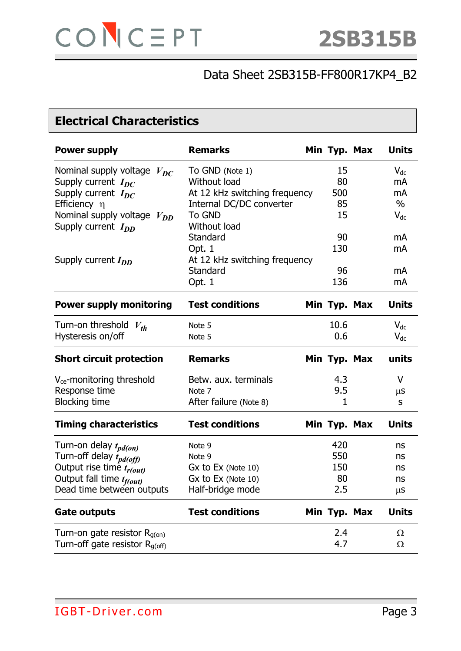## **Electrical Characteristics**

| <b>Power supply</b>                   | <b>Remarks</b>                | Min Typ. Max | <b>Units</b> |
|---------------------------------------|-------------------------------|--------------|--------------|
| Nominal supply voltage $V_{DC}$       | To GND (Note 1)               | 15           | $V_{dc}$     |
| Supply current $I_{DC}$               | Without load                  | 80           | mA           |
| Supply current $I_{DC}$               | At 12 kHz switching frequency | 500          | mA           |
| Efficiency $\eta$                     | Internal DC/DC converter      | 85           | $\%$         |
| Nominal supply voltage<br>$V_{DD}$    | <b>To GND</b>                 | 15           | $V_{dc}$     |
| Supply current $I_{DD}$               | Without load                  |              |              |
|                                       | Standard                      | 90           | mA           |
|                                       | Opt. 1                        | 130          | mA           |
| Supply current $I_{DD}$               | At 12 kHz switching frequency |              |              |
|                                       | Standard                      | 96           | mA           |
|                                       | Opt. 1                        | 136          | mA           |
| <b>Power supply monitoring</b>        | <b>Test conditions</b>        | Min Typ. Max | <b>Units</b> |
| Turn-on threshold $V_{th}$            | Note 5                        | 10.6         | $V_{dc}$     |
| Hysteresis on/off                     | Note 5                        | 0.6          | $V_{dc}$     |
| <b>Short circuit protection</b>       | <b>Remarks</b>                | Min Typ. Max | units        |
| V <sub>ce</sub> -monitoring threshold | Betw. aux. terminals          | 4.3          | $\vee$       |
| Response time                         | Note 7                        | 9.5          | $\mu$ S      |
| <b>Blocking time</b>                  | After failure (Note 8)        | 1            | S            |
| <b>Timing characteristics</b>         | <b>Test conditions</b>        | Min Typ. Max | <b>Units</b> |
| Turn-on delay $t_{pd(on)}$            | Note 9                        | 420          | ns           |
| Turn-off delay $\hat{t}_{pd(off)}$    | Note 9                        | 550          | ns           |
| Output rise time $t_{r(out)}$         | $Gx$ to $Ex$ (Note 10)        | 150          | ns           |
| Output fall time t <sub>f(out)</sub>  | Gx to Ex (Note 10)            | 80           | ns           |
| Dead time between outputs             | Half-bridge mode              | 2.5          | $\mu$ S      |
| <b>Gate outputs</b>                   | <b>Test conditions</b>        | Min Typ. Max | <b>Units</b> |
| Turn-on gate resistor $R_{q(0n)}$     |                               | 2.4          | Ω            |
| Turn-off gate resistor $R_{q(off)}$   |                               | 4.7          | Ω            |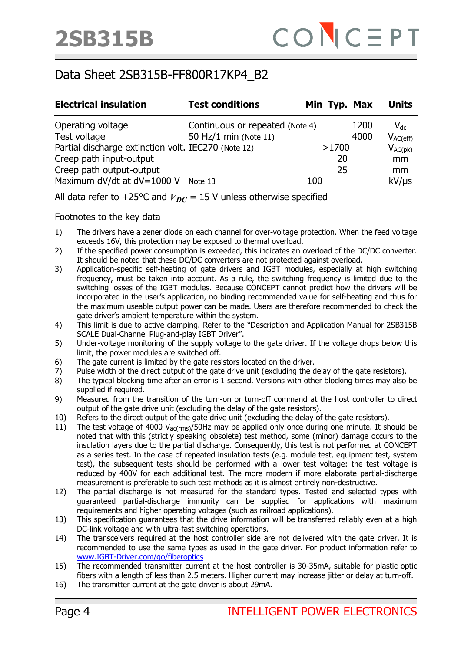| <b>Electrical insulation</b>                                                   | <b>Test conditions</b>                                   |     |             | Min Typ. Max | <b>Units</b>              |
|--------------------------------------------------------------------------------|----------------------------------------------------------|-----|-------------|--------------|---------------------------|
| Operating voltage<br>Test voltage                                              | Continuous or repeated (Note 4)<br>50 Hz/1 min (Note 11) |     |             | 1200<br>4000 | $V_{dc}$<br>$V_{AC(eff)}$ |
| Partial discharge extinction volt. IEC270 (Note 12)<br>Creep path input-output |                                                          |     | >1700<br>20 |              | $V_{AC(pk)}$<br>mm        |
| Creep path output-output<br>Maximum dV/dt at dV=1000 V                         | Note 13                                                  | 100 | 25          |              | mm<br>$kV/\mu s$          |

All data refer to +25°C and  $V_{DC}$  = 15 V unless otherwise specified

Footnotes to the key data

- 1) The drivers have a zener diode on each channel for over-voltage protection. When the feed voltage exceeds 16V, this protection may be exposed to thermal overload.
- 2) If the specified power consumption is exceeded, this indicates an overload of the DC/DC converter. It should be noted that these DC/DC converters are not protected against overload.
- 3) Application-specific self-heating of gate drivers and IGBT modules, especially at high switching frequency, must be taken into account. As a rule, the switching frequency is limited due to the switching losses of the IGBT modules. Because CONCEPT cannot predict how the drivers will be incorporated in the user's application, no binding recommended value for self-heating and thus for the maximum useable output power can be made. Users are therefore recommended to check the gate driver's ambient temperature within the system.
- 4) This limit is due to active clamping. Refer to the "Description and Application Manual for 2SB315B SCALE Dual-Channel Plug-and-play IGBT Driver".
- 5) Under-voltage monitoring of the supply voltage to the gate driver. If the voltage drops below this limit, the power modules are switched off.
- 6) The gate current is limited by the gate resistors located on the driver.
- 7) Pulse width of the direct output of the gate drive unit (excluding the delay of the gate resistors).
- 8) The typical blocking time after an error is 1 second. Versions with other blocking times may also be supplied if required.
- 9) Measured from the transition of the turn-on or turn-off command at the host controller to direct output of the gate drive unit (excluding the delay of the gate resistors).
- 10) Refers to the direct output of the gate drive unit (excluding the delay of the gate resistors).
- 11) The test voltage of 4000  $V_{\text{ac(rms)}}$ /50Hz may be applied only once during one minute. It should be noted that with this (strictly speaking obsolete) test method, some (minor) damage occurs to the insulation layers due to the partial discharge. Consequently, this test is not performed at CONCEPT as a series test. In the case of repeated insulation tests (e.g. module test, equipment test, system test), the subsequent tests should be performed with a lower test voltage: the test voltage is reduced by 400V for each additional test. The more modern if more elaborate partial-discharge measurement is preferable to such test methods as it is almost entirely non-destructive.
- 12) The partial discharge is not measured for the standard types. Tested and selected types with guaranteed partial-discharge immunity can be supplied for applications with maximum requirements and higher operating voltages (such as railroad applications).
- 13) This specification guarantees that the drive information will be transferred reliably even at a high DC-link voltage and with ultra-fast switching operations.
- 14) The transceivers required at the host controller side are not delivered with the gate driver. It is recommended to use the same types as used in the gate driver. For product information refer to www.IGBT-Driver.com/go/fiberoptics
- 15) The recommended transmitter current at the host controller is 30-35mA, suitable for plastic optic fibers with a length of less than 2.5 meters. Higher current may increase jitter or delay at turn-off.
- 16) The transmitter current at the gate driver is about 29mA.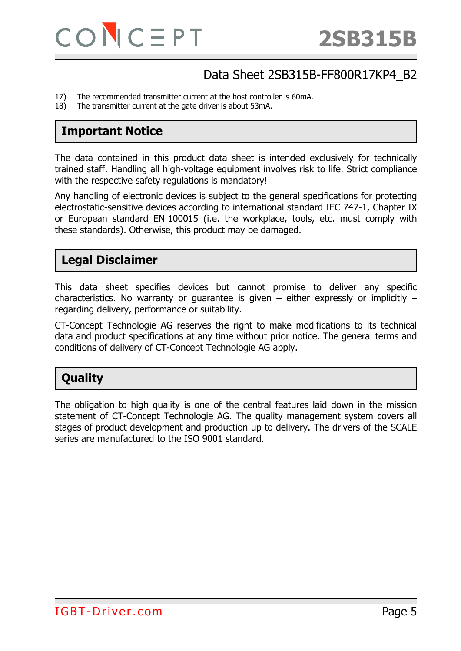- 17) The recommended transmitter current at the host controller is 60mA.
- 18) The transmitter current at the gate driver is about 53mA.

#### **Important Notice**

The data contained in this product data sheet is intended exclusively for technically trained staff. Handling all high-voltage equipment involves risk to life. Strict compliance with the respective safety regulations is mandatory!

Any handling of electronic devices is subject to the general specifications for protecting electrostatic-sensitive devices according to international standard IEC 747-1, Chapter IX or European standard EN 100015 (i.e. the workplace, tools, etc. must comply with these standards). Otherwise, this product may be damaged.

#### **Legal Disclaimer**

This data sheet specifies devices but cannot promise to deliver any specific characteristics. No warranty or guarantee is given  $-$  either expressly or implicitly  $$ regarding delivery, performance or suitability.

CT-Concept Technologie AG reserves the right to make modifications to its technical data and product specifications at any time without prior notice. The general terms and conditions of delivery of CT-Concept Technologie AG apply.

### **Quality**

The obligation to high quality is one of the central features laid down in the mission statement of CT-Concept Technologie AG. The quality management system covers all stages of product development and production up to delivery. The drivers of the SCALE series are manufactured to the ISO 9001 standard.